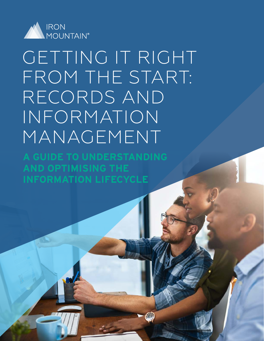

# GETTING IT RIGHT FROM THE START: RECORDS AND INFORMATION MANAGEMENT

**A GUIDE TO UNDERSTANDING AND OPTIMISING THE INFORMATION LIFECYCLE**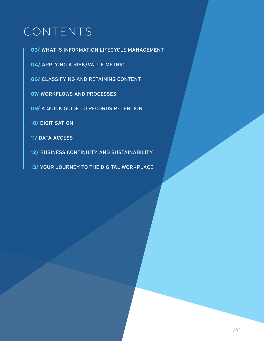# CONTENTS

**03/** [WHAT IS INFORMATION LIFECYCLE MANAGEMENT](#page-2-0)

**04/** [APPLYING A RISK/VALUE METRIC](#page-3-0)

**06/** [CLASSIFYING AND RETAINING CONTENT](#page-5-0)

**07/** [WORKFLOWS AND PROCESSES](#page-6-0)

**09/** [A QUICK GUIDE TO RECORDS RETENTION](#page-8-0)

**10/** [DIGITISATION](#page-9-0)

**11/** [DATA ACCESS](#page-10-0)

**12/** [BUSINESS CONTINUITY AND SUSTAINABILITY](#page-11-0)

**13/** [YOUR JOURNEY TO THE DIGITAL WORKPLACE](#page-12-0)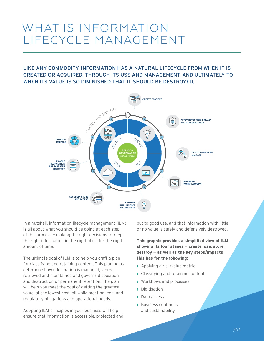# <span id="page-2-0"></span>WHAT IS INFORMATION LIFECYCLE MANAGEMENT

# LIKE ANY COMMODITY, INFORMATION HAS A NATURAL LIFECYCLE FROM WHEN IT IS CREATED OR ACQUIRED, THROUGH ITS USE AND MANAGEMENT, AND ULTIMATELY TO WHEN ITS VALUE IS SO DIMINISHED THAT IT SHOULD BE DESTROYED.



In a nutshell, information lifecycle management (ILM) is all about what you should be doing at each step of this process — making the right decisions to keep the right information in the right place for the right amount of time.

The ultimate goal of ILM is to help you craft a plan for classifying and retaining content. This plan helps determine how information is managed, stored, retrieved and maintained and governs disposition and destruction or permanent retention. The plan will help you meet the goal of getting the greatest value, at the lowest cost, all while meeting legal and regulatory obligations and operational needs.

Adopting ILM principles in your business will help ensure that information is accessible, protected and

put to good use, and that information with little or no value is safely and defensively destroyed.

**This graphic provides a simplified view of ILM showing its four stages — create, use, store, destroy — as well as the key steps/impacts this has for the following:**

- **›** Applying a risk/value metric
- **›** Classifying and retaining content
- **›** Workflows and processes
- **›** Digitisation
- **›** Data access
- **›** Business continuity and sustainability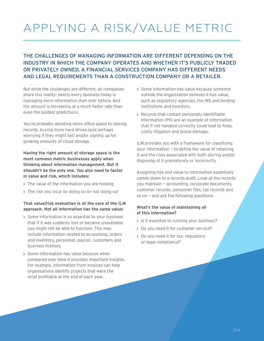# <span id="page-3-0"></span>APPLYING A RISK/VALUE METRIC

# THE CHALLENGES OF MANAGING INFORMATION ARE DIFFERENT DEPENDING ON THE INDUSTRY IN WHICH THE COMPANY OPERATES AND WHETHER IT'S PUBLICLY TRADED OR PRIVATELY OWNED. A FINANCIAL SERVICES COMPANY HAS DIFFERENT NEEDS AND LEGAL REQUIREMENTS THAN A CONSTRUCTION COMPANY OR A RETAILER.

But while the challenges are different, all companies share this reality: nearly every business today is managing more information than ever before. And the amount is increasing at a much faster rate than even the boldest predictions.

You're probably devoting more office space to storing records, buying more hard drives (and perhaps worrying if they might fail) and/or signing up for growing amounts of cloud storage.

**Having the right amount of storage space is the most common metric businesses apply when thinking about information management. But it shouldn't be the only one. You also need to factor in value and risk, which includes:**

- **›** The value of the information you are holding
- **›** The risk you incur by doing so (or not doing so)

#### **That value/risk evaluation is at the core of the ILM approach. Not all information has the same value:**

- **›** Some information is so essential to your business that if it was suddenly lost or became unavailable, you might not be able to function. This may include information related to accounting, orders and inventory, personnel, payroll, customers and business licenses.
- **›** Some information has value because when compared over time it provides important insights. For example, information from invoices can help organisations identify projects that were the most profitable at the end of each year.
- **›** Some information has value because someone outside the organisation believes it has value, such as regulatory agencies, the IRS and lending institutions and investors.
- **›** Records that contain personally identifiable information (PII) are an example of information that if not handled correctly could lead to fines, costly litigation and brand damage.

ILM provides you with a framework for classifying your information — to define the value of retaining it and the risks associated with both storing and/or disposing of it prematurely or incorrectly.

Assigning risk and value to information essentially comes down to a records audit. Look at the records you maintain — accounting, corporate documents, customer records, personnel files, tax records and so on — and ask the following questions:

#### **What's the value of maintaining all of this information?**

- **›** Is it essential to running your business?
- **›** Do you need it for customer service?
- **›** Do you need it for tax, regulatory or legal compliance?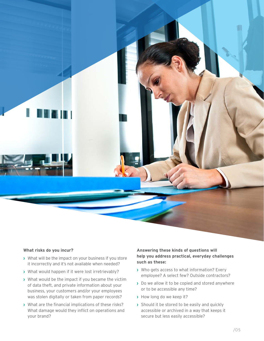

#### **What risks do you incur?**

- **›** What will be the impact on your business if you store it incorrectly and it's not available when needed?
- **›** What would happen if it were lost irretrievably?
- **›** What would be the impact if you became the victim of data theft, and private information about your business, your customers and/or your employees was stolen digitally or taken from paper records?
- **›** What are the financial implications of these risks? What damage would they inflict on operations and your brand?

#### **Answering these kinds of questions will help you address practical, everyday challenges such as these:**

- **›** Who gets access to what information? Every employee? A select few? Outside contractors?
- **›** Do we allow it to be copied and stored anywhere or to be accessible any time?
- **›** How long do we keep it?
- **›** Should it be stored to be easily and quickly accessible or archived in a way that keeps it secure but less easily accessible?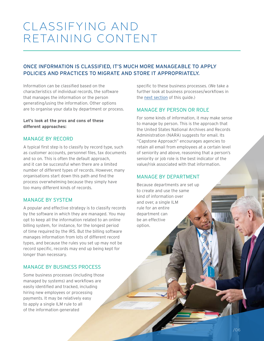# <span id="page-5-0"></span>CLASSIFYING AND RETAINING CONTENT

# ONCE INFORMATION IS CLASSIFIED, IT'S MUCH MORE MANAGEABLE TO APPLY POLICIES AND PRACTICES TO MIGRATE AND STORE IT APPROPRIATELY.

Information can be classified based on the characteristics of individual records, the software that manages the information or the person generating/using the information. Other options are to organise your data by department or process.

#### **Let's look at the pros and cons of these different approaches:**

### MANAGE BY RECORD

A typical first step is to classify by record type, such as customer accounts, personnel files, tax documents and so on. This is often the default approach, and it can be successful when there are a limited number of different types of records. However, many organisations start down this path and find the process overwhelming because they simply have too many different kinds of records.

### MANAGE BY SYSTEM

A popular and effective strategy is to classify records by the software in which they are managed. You may opt to keep all the information related to an online billing system, for instance, for the longest period of time required by the IRS. But the billing software manages information from lots of different record types, and because the rules you set up may not be record specific, records may end up being kept for longer than necessary.

### MANAGE BY BUSINESS PROCESS

Some business processes (including those managed by systems) and workflows are easily identified and tracked, including hiring new employees or processing payments. It may be relatively easy to apply a single ILM rule to all of the information generated

specific to these business processes. (We take a further look at business processes/workflows in the [next section](#page-6-0) of this guide.)

### MANAGE BY PERSON OR ROLE

For some kinds of information, it may make sense to manage by person. This is the approach that the United States National Archives and Records Administration (NARA) suggests for email. Its "Capstone Approach" encourages agencies to retain all email from employees at a certain level of seniority and above, reasoning that a person's seniority or job role is the best indicator of the value/risk associated with that information.

### MANAGE BY DEPARTMENT

Because departments are set up to create and use the same kind of information over and over, a single ILM rule for an entire department can be an effective option.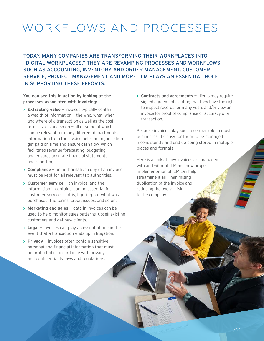# <span id="page-6-0"></span>WORKFLOWS AND PROCESSES

TODAY, MANY COMPANIES ARE TRANSFORMING THEIR WORKPLACES INTO "DIGITAL WORKPLACES." THEY ARE REVAMPING PROCESSES AND WORKFLOWS SUCH AS ACCOUNTING, INVENTORY AND ORDER MANAGEMENT, CUSTOMER SERVICE, PROJECT MANAGEMENT AND MORE. ILM PLAYS AN ESSENTIAL ROLE IN SUPPORTING THESE EFFORTS.

#### **You can see this in action by looking at the processes associated with invoicing:**

- **› Extracting value**  invoices typically contain a wealth of information  $-$  the who, what, when and where of a transaction as well as the cost, terms, taxes and so on  $-$  all or some of which can be relevant for many different departments. Information from the invoice helps an organisation get paid on time and ensure cash flow, which facilitates revenue forecasting, budgeting and ensures accurate financial statements and reporting.
- **› Compliance**  an authoritative copy of an invoice must be kept for all relevant tax authorities.
- **› Customer service**  an invoice, and the information it contains, can be essential for customer service, that is, figuring out what was purchased, the terms, credit issues, and so on.
- **› Marketing and sales**  data in invoices can be used to help monitor sales patterns, upsell existing customers and get new clients.
- **› Legal**  invoices can play an essential role in the event that a transaction ends up in litigation.
- **› Privacy**  invoices often contain sensitive personal and financial information that must be protected in accordance with privacy and confidentiality laws and regulations.

**› Contracts and agreements** — clients may require signed agreements stating that they have the right to inspect records for many years and/or view an invoice for proof of compliance or accuracy of a transaction.

Because invoices play such a central role in most businesses, it's easy for them to be managed inconsistently and end up being stored in multiple places and formats.

Here is a look at how invoices are managed with and without ILM and how proper implementation of ILM can help streamline it all — minimising duplication of the invoice and reducing the overall risk to the company.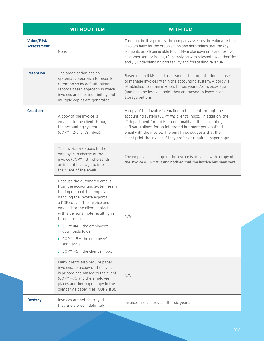|                                        | <b>WITHOUT ILM</b>                                                                                                                                                                                                                                                                                                                                                                   | <b>WITH ILM</b>                                                                                                                                                                                                                                                                                                                                                                      |
|----------------------------------------|--------------------------------------------------------------------------------------------------------------------------------------------------------------------------------------------------------------------------------------------------------------------------------------------------------------------------------------------------------------------------------------|--------------------------------------------------------------------------------------------------------------------------------------------------------------------------------------------------------------------------------------------------------------------------------------------------------------------------------------------------------------------------------------|
| <b>Value/Risk</b><br><b>Assessment</b> | None                                                                                                                                                                                                                                                                                                                                                                                 | Through the ILM process, the company assesses the value/risk that<br>invoices have for the organisation and determines that the key<br>elements are (1) being able to quickly make payments and resolve<br>customer service issues, (2) complying with relevant tax authorities<br>and (3) understanding profitability and forecasting revenue.                                      |
| <b>Retention</b>                       | The organisation has no<br>systematic approach to records<br>retention so by default follows a<br>records-based approach in which<br>invoices are kept indefinitely and<br>multiple copies are generated.                                                                                                                                                                            | Based on an ILM-based assessment, the organisation chooses<br>to manage invoices within the accounting system. A policy is<br>established to retain invoices for six years. As invoices age<br>(and become less valuable) they are moved to lower-cost<br>storage options.                                                                                                           |
| <b>Creation</b>                        | A copy of the invoice is<br>emailed to the client through<br>the accounting system<br>(COPY #2-client's inbox).                                                                                                                                                                                                                                                                      | A copy of the invoice is emailed to the client through the<br>accounting system (COPY #2-client's inbox). In addition, the<br>IT department (or built-in functionality in the accounting<br>software) allows for an integrated but more personalised<br>email with the invoice. The email also suggests that the<br>client print the invoice if they prefer or require a paper copy. |
|                                        | The invoice also goes to the<br>employee in charge of the<br>invoice (COPY #3), who sends<br>an instant message to inform<br>the client of the email.                                                                                                                                                                                                                                | The employee in charge of the invoice is provided with a copy of<br>the invoice (COPY #3) and notified that the invoice has been sent.                                                                                                                                                                                                                                               |
|                                        | Because the automated emails<br>from the accounting system seem<br>too impersonal, the employee<br>handling the invoice exports<br>a PDF copy of the invoice and<br>emails it to the client contact<br>with a personal note resulting in<br>three more copies:<br>$\rightarrow$ COPY #4 - the employee's<br>downloads folder<br>$\rightarrow$ COPY #5 - the employee's<br>sent items | N/A                                                                                                                                                                                                                                                                                                                                                                                  |
|                                        | $\sum$ COPY #6 - the client's inbox<br>Many clients also require paper<br>invoices, so a copy of the invoice<br>is printed and mailed to the client<br>(COPY #7), and the employee<br>places another paper copy in the<br>company's paper files (COPY #8).                                                                                                                           | N/A                                                                                                                                                                                                                                                                                                                                                                                  |
| <b>Destroy</b>                         | Invoices are not destroyed -<br>they are stored indefinitely.                                                                                                                                                                                                                                                                                                                        | Invoices are destroyed after six years.                                                                                                                                                                                                                                                                                                                                              |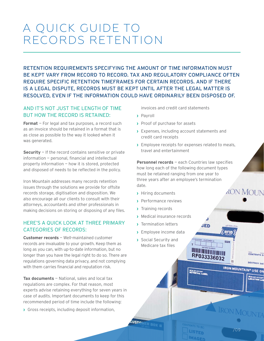# <span id="page-8-0"></span>A QUICK GUIDE TO RECORDS RETENTION

RETENTION REQUIREMENTS SPECIFYING THE AMOUNT OF TIME INFORMATION MUST BE KEPT VARY FROM RECORD TO RECORD. TAX AND REGULATORY COMPLIANCE OFTEN REQUIRE SPECIFIC RETENTION TIMEFRAMES FOR CERTAIN RECORDS. AND IF THERE IS A LEGAL DISPUTE, RECORDS MUST BE KEPT UNTIL AFTER THE LEGAL MATTER IS RESOLVED, EVEN IF THE INFORMATION COULD HAVE ORDINARILY BEEN DISPOSED OF.

# AND IT'S NOT JUST THE LENGTH OF TIME BUT HOW THE RECORD IS RETAINED:

**Format** – For legal and tax purposes, a record such as an invoice should be retained in a format that is as close as possible to the way it looked when it was generated.

**Security** — If the record contains sensitive or private information — personal, financial and intellectual property information — how it is stored, protected and disposed of needs to be reflected in the policy.

Iron Mountain addresses many records retention issues through the solutions we provide for offsite records storage, digitisation and disposition. We also encourage all our clients to consult with their attorneys, accountants and other professionals in making decisions on storing or disposing of any files.

# HERE'S A QUICK LOOK AT THREE PRIMARY CATEGORIES OF RECORDS:

**Customer records** — Well-maintained customer records are invaluable to your growth. Keep them as long as you can, with up-to-date information, but no longer than you have the legal right to do so. There are regulations governing data privacy, and not complying with them carries financial and reputation risk.

**Tax documents** – National, sales and local tax regulations are complex. For that reason, most experts advise retaining everything for seven years in case of audits. Important documents to keep for this recommended period of time include the following:

**›** Gross receipts, including deposit information,

invoices and credit card statements

- **›** Payroll
- **›** Proof of purchase for assets
- **›** Expenses, including account statements and credit card receipts
- **›** Employee receipts for expenses related to meals, travel and entertainment

**Personnel records** — each Countries law specifies how long each of the following document types must be retained ranging from one year to three years after an employee's termination date. *RON MOUN* 

 $3ED$ 

**HILL AND BOX NUMBER** RF033336032

**RON MOURTAINS** 

LISTED **IMAGED**  RFID

**Elsini** 

ya

**IRON MOUNTAIN<sup>®</sup> USE ON** 

CONTENTS D

**DESTROY DAT** 

/09

IRON MOUNT

- **›** Hiring documents
- **›** Performance reviews
- **›** Training records
- **›** Medical insurance records
- **›** Termination letters
- **›** Employee income data
- **›** Social Security and Medicare tax files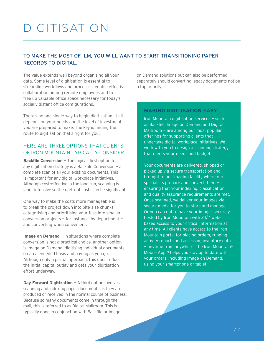# <span id="page-9-0"></span>DIGITISATION

# TO MAKE THE MOST OF ILM, YOU WILL WANT TO START TRANSITIONING PAPER RECORDS TO DIGITAL.

The value extends well beyond organising all your data. Some level of digitisation is essential to streamline workflows and processes, enable effective collaboration among remote employees and to free up valuable office space necessary for today's socially distant office configurations.

There's no one single way to begin digitisation. It all depends on your needs and the level of investment you are prepared to make. The key is finding the route to digitisation that's right for you.

## HERE ARE THREE OPTIONS THAT CLIENTS OF IRON MOUNTAIN TYPICALLY CONSIDER:

**Backfile Conversion** — The logical, first option for any digitisation strategy is a Backfile Conversion — a complete scan of all your existing documents. This is important for any digital workplace initiatives. Although cost-effective in the long run, scanning is labor intensive so the up-front costs can be significant.

One way to make the costs more manageable is to break the project down into bite-size chunks, categorising and prioritising your files into smaller conversion projects — for instance, by department and converting when convenient.

**Image on Demand** – In situations where complete conversion is not a practical choice, another option is Image on Demand: digitising individual documents on an as-needed basis and paying as you go. Although only a partial approach, this does reduce the initial capital outlay and gets your digitisation effort underway.

**Day Forward Digitization** – A third option involves scanning and indexing paper documents as they are produced or received in the normal course of business. Because so many documents come in through the mail, this is referred to as Digital Mailroom. This is typically done in conjunction with Backfile or Image

on Demand solutions but can also be performed separately should converting legacy documents not be a top priority.

### **MAKING DIGITISATION EASY**

Iron Mountain digitisation services — such as Backfile, Image on Demand and Digital Mailroom — are among our most popular offerings for supporting clients that undertake digital workplace initiatives. We work with you to design a scanning strategy that meets your needs and budget.

Your documents are delivered, shipped or picked up via secure transportation and brought to our imaging facility where our specialists prepare and convert them ensuring that your indexing, classification and quality assurance requirements are met. Once scanned, we deliver your images via secure media for you to store and manage. Or you can opt to have your images securely hosted by Iron Mountain with 24/7 webbased access to your critical information at any time. All clients have access to the Iron Mountain portal for placing orders, running activity reports and accessing inventory data  $-$  anytime from anywhere. The Iron Mountain<sup>®</sup> Mobile App™ helps you stay up to date with your orders, including Image on Demand, using your smartphone or tablet.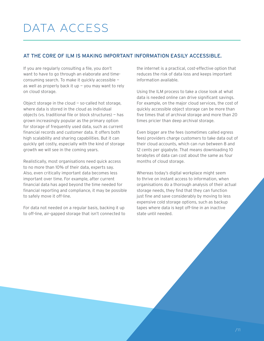# <span id="page-10-0"></span>DATA ACCESS

### AT THE CORE OF ILM IS MAKING IMPORTANT INFORMATION EASILY ACCESSIBLE.

If you are regularly consulting a file, you don't want to have to go through an elaborate and timeconsuming search. To make it quickly accessible as well as properly back it up  $-$  you may want to rely on cloud storage.

Object storage in the cloud — so-called hot storage, where data is stored in the cloud as individual objects (vs. traditional file or block structures) — has grown increasingly popular as the primary option for storage of frequently used data, such as current financial records and customer data. It offers both high scalability and sharing capabilities. But it can quickly get costly, especially with the kind of storage growth we will see in the coming years.

Realistically, most organisations need quick access to no more than 10% of their data, experts say. Also, even critically important data becomes less important over time. For example, after current financial data has aged beyond the time needed for financial reporting and compliance, it may be possible to safely move it off-line.

For data not needed on a regular basis, backing it up to off-line, air-gapped storage that isn't connected to

the internet is a practical, cost-effective option that reduces the risk of data loss and keeps important information available.

Using the ILM process to take a close look at what data is needed online can drive significant savings. For example, on the major cloud services, the cost of quickly accessible object storage can be more than five times that of archival storage and more than 20 times pricier than deep archival storage.

Even bigger are the fees (sometimes called egress fees) providers charge customers to take data out of their cloud accounts, which can run between 8 and 12 cents per gigabyte. That means downloading 10 terabytes of data can cost about the same as four months of cloud storage.

Whereas today's digital workplace might seem to thrive on instant access to information, when organisations do a thorough analysis of their actual storage needs, they find that they can function just fine and save considerably by moving to less expensive cold storage options, such as backup tapes where data is kept off-line in an inactive state until needed.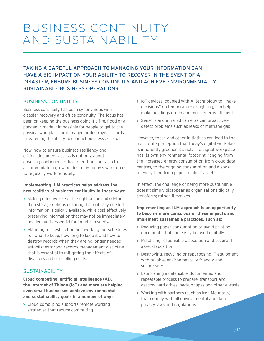# <span id="page-11-0"></span>BUSINESS CONTINUITY AND SUSTAINABILITY

# TAKING A CAREFUL APPROACH TO MANAGING YOUR INFORMATION CAN HAVE A BIG IMPACT ON YOUR ABILITY TO RECOVER IN THE EVENT OF A DISASTER, ENSURE BUSINESS CONTINUITY AND ACHIEVE ENVIRONMENTALLY SUSTAINABLE BUSINESS OPERATIONS.

### BUSINESS CONTINUITY

Business continuity has been synonymous with disaster recovery and office continuity. The focus has been on keeping the business going if a fire, flood or a pandemic made it impossible for people to get to the physical workplace, or damaged or destroyed records, threatening the ability to conduct business as usual.

Now, how to ensure business resiliency and critical document access is not only about ensuring continuous office operations but also to accommodate a growing desire by today's workforces to regularly work remotely.

#### **Implementing ILM practices helps address the new realities of business continuity in these ways:**

- **›** Making effective use of the right online and off-line data storage options ensuring that critically needed information is quickly available, while cost-effectively preserving information that may not be immediately needed but is essential for long-term survival.
- **›** Planning for destruction and working out schedules for what to keep, how long to keep it and how to destroy records when they are no longer needed establishes strong records management discipline that is essential to mitigating the effects of disasters and controlling costs.

### SUSTAINABILITY

**Cloud computing, artificial intelligence (AI), the Internet of Things (IoT) and more are helping even small businesses achieve environmental and sustainability goals in a number of ways:**

**›** Cloud computing supports remote working strategies that reduce commuting

- **›** IoT devices, coupled with AI technology to "make decisions" on temperature or lighting, can help make buildings green and more energy efficient
- **›** Sensors and infrared cameras can proactively detect problems such as leaks of methane gas

However, these and other initiatives can lead to the inaccurate perception that today's digital workplace is inherently greener. It's not. The digital workplace has its own environmental footprint, ranging from the increased energy consumption from cloud data centres, to the ongoing consumption and disposal of everything from paper to old IT assets.

In effect, the challenge of being more sustainable doesn't simply disappear as organisations digitally transform; rather, it evolves.

#### **Implementing an ILM approach is an opportunity to become more conscious of these impacts and implement sustainable practices, such as:**

- **›** Reducing paper consumption to avoid printing documents that can easily be used digitally
- **›** Practicing responsible disposition and secure IT asset disposition
- **›** Destroying, recycling or repurposing IT equipment with reliable, environmentally friendly and secure services
- **›** Establishing a defensible, documented and repeatable process to prepare, transport and destroy hard drives, backup tapes and other e-waste
- **›** Working with partners (such as Iron Mountain) that comply with all environmental and data privacy laws and regulations